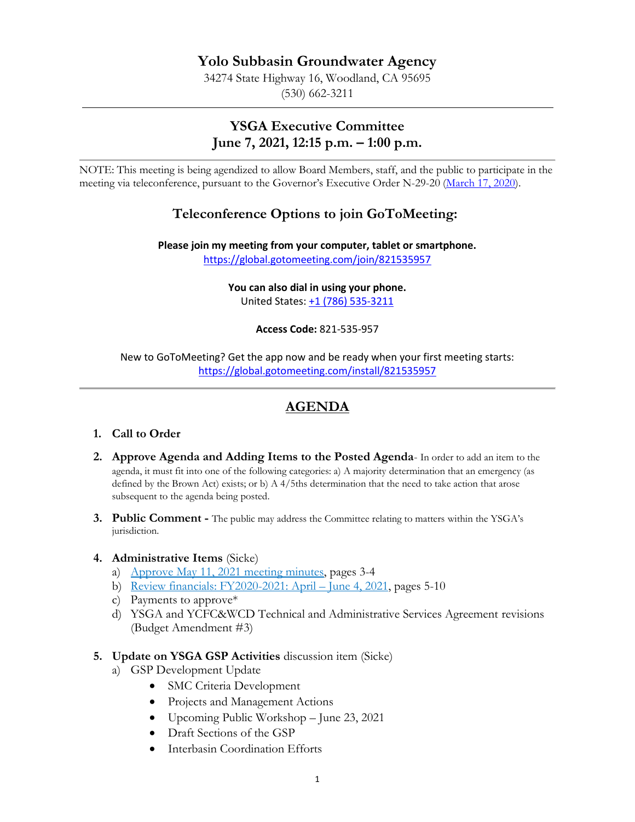## **Yolo Subbasin Groundwater Agency**

34274 State Highway 16, Woodland, CA 95695 (530) 662-3211

## **YSGA Executive Committee June 7, 2021, 12:15 p.m. – 1:00 p.m.**

NOTE: This meeting is being agendized to allow Board Members, staff, and the public to participate in the meeting via teleconference, pursuant to the Governor's Executive Order N-29-20 [\(March 17, 2020\)](https://www.gov.ca.gov/wp-content/uploads/2020/03/3.17.20-N-29-20-EO.pdf).

## **Teleconference Options to join GoToMeeting:**

**Please join my meeting from your computer, tablet or smartphone.**  <https://global.gotomeeting.com/join/821535957>

> **You can also dial in using your phone.** United States: [+1 \(786\) 535-3211](tel:+17865353211,,821535957)

> > **Access Code:** 821-535-957

New to GoToMeeting? Get the app now and be ready when your first meeting starts: <https://global.gotomeeting.com/install/821535957>

# **AGENDA**

### **1. Call to Order**

- **2. Approve Agenda and Adding Items to the Posted Agenda** In order to add an item to the agenda, it must fit into one of the following categories: a) A majority determination that an emergency (as defined by the Brown Act) exists; or b) A 4/5ths determination that the need to take action that arose subsequent to the agenda being posted.
- **3. Public Comment -** The public may address the Committee relating to matters within the YSGA's jurisdiction.

#### **4. Administrative Items** (Sicke)

- a) Approve May 11, 2021 meeting minutes, pages 3-4
- b) Review financials: FY2020-2021: April June 4, 2021, pages 5-10
- c) Payments to approve\*
- d) YSGA and YCFC&WCD Technical and Administrative Services Agreement revisions (Budget Amendment #3)

#### **5. Update on YSGA GSP Activities** discussion item (Sicke)

- a) GSP Development Update
	- SMC Criteria Development
	- Projects and Management Actions
	- Upcoming Public Workshop June 23, 2021
	- Draft Sections of the GSP
	- Interbasin Coordination Efforts